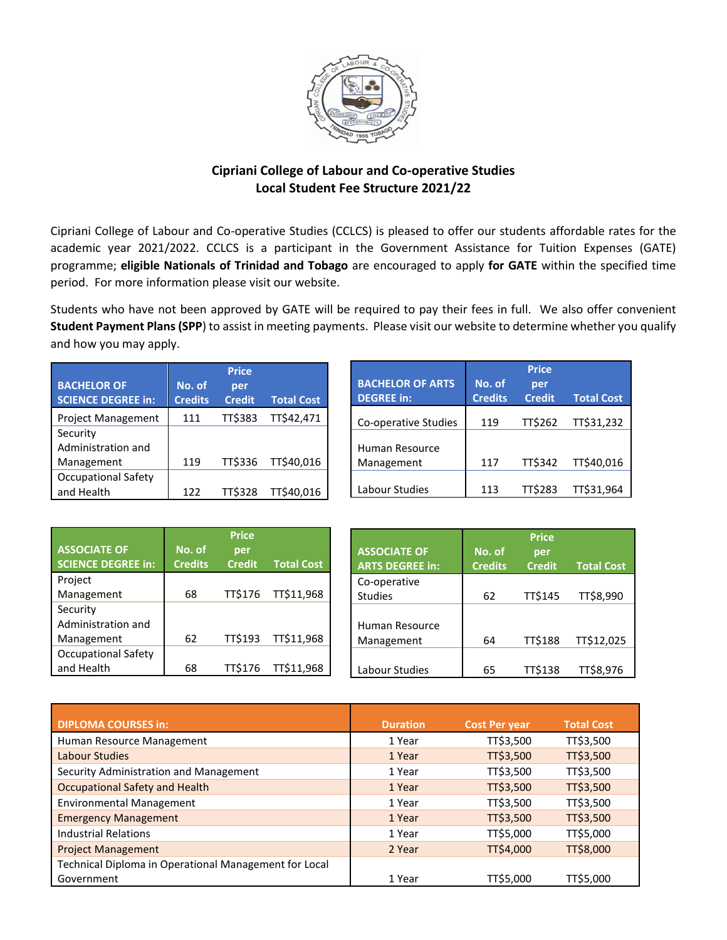

# **Cipriani College of Labour and Co-operative Studies Local Student Fee Structure 2021/22**

Cipriani College of Labour and Co-operative Studies (CCLCS) is pleased to offer our students affordable rates for the academic year 2021/2022. CCLCS is a participant in the Government Assistance for Tuition Expenses (GATE) programme; **eligible Nationals of Trinidad and Tobago** are encouraged to apply **for GATE** within the specified time period. For more information please visit our website.

Students who have not been approved by GATE will be required to pay their fees in full. We also offer convenient **Student Payment Plans (SPP**) to assist in meeting payments. Please visit our website to determine whether you qualify and how you may apply.

|                                          |                          | <b>Price</b>         |                   |                                              |                          | <b>Price</b>         |                   |
|------------------------------------------|--------------------------|----------------------|-------------------|----------------------------------------------|--------------------------|----------------------|-------------------|
| <b>BACHELOR OF</b><br>SCIENCE DEGREE in: | No. of<br><b>Credits</b> | per<br><b>Credit</b> | <b>Total Cost</b> | <b>BACHELOR OF ARTS</b><br><b>DEGREE</b> in: | No. of<br><b>Credits</b> | per<br><b>Credit</b> | <b>Total Cost</b> |
| <b>Project Management</b>                | 111                      | TT\$383              | TT\$42,471        | Co-operative Studies                         | 119                      | <b>TT\$262</b>       | TT\$31,232        |
| Security                                 |                          |                      |                   |                                              |                          |                      |                   |
| Administration and                       |                          |                      |                   | Human Resource                               |                          |                      |                   |
| Management                               | 119                      | <b>TT\$336</b>       | TT\$40,016        | Management                                   | 117                      | <b>TT\$342</b>       | TT\$40,016        |
| <b>Occupational Safety</b>               |                          |                      |                   |                                              |                          |                      |                   |
| and Health                               | 122                      | <b>TT\$328</b>       | TT\$40,016        | Labour Studies                               | 113                      | <b>TT\$283</b>       | TT\$31,964        |

| <b>ASSOCIATE OF</b><br><b>SCIENCE DEGREE in:</b> | No. of<br><b>Credits</b> | <b>Price</b><br>per<br><b>Credit</b> | <b>Total Cost</b> | <b>ASSOCIATE OF</b><br><b>ARTS DEGREE in:</b> | No. of<br><b>Credits</b> | <b>Price</b><br>per<br><b>Credit</b> | <b>Total Cost</b> |
|--------------------------------------------------|--------------------------|--------------------------------------|-------------------|-----------------------------------------------|--------------------------|--------------------------------------|-------------------|
| Project                                          |                          |                                      |                   | Co-operative                                  |                          |                                      |                   |
| Management                                       | 68                       | <b>TT\$176</b>                       | TT\$11,968        | <b>Studies</b>                                | 62                       | <b>TT\$145</b>                       | TT\$8,990         |
| Security                                         |                          |                                      |                   |                                               |                          |                                      |                   |
| Administration and                               |                          |                                      |                   | Human Resource                                |                          |                                      |                   |
| Management                                       | 62                       | <b>TT\$193</b>                       | TT\$11,968        | Management                                    | 64                       | <b>TT\$188</b>                       | TT\$12,025        |
| <b>Occupational Safety</b>                       |                          |                                      |                   |                                               |                          |                                      |                   |
| and Health                                       | 68                       | TT\$176                              | TT\$11,968        | Labour Studies                                | 65                       | TT\$138                              | TT\$8,976         |

| <b>DIPLOMA COURSES in:</b>                            | <b>Duration</b> | <b>Cost Per year</b> | <b>Total Cost</b> |
|-------------------------------------------------------|-----------------|----------------------|-------------------|
| Human Resource Management                             | 1 Year          | TT\$3,500            | TT\$3,500         |
| Labour Studies                                        | 1 Year          | TT\$3,500            | TT\$3,500         |
| Security Administration and Management                | 1 Year          | TT\$3,500            | TT\$3,500         |
| <b>Occupational Safety and Health</b>                 | 1 Year          | TT\$3,500            | TT\$3,500         |
| <b>Environmental Management</b>                       | 1 Year          | TT\$3,500            | TT\$3,500         |
| <b>Emergency Management</b>                           | 1 Year          | TT\$3,500            | TT\$3,500         |
|                                                       |                 |                      |                   |
| <b>Industrial Relations</b>                           | 1 Year          | TT\$5,000            | TT\$5,000         |
| <b>Project Management</b>                             | 2 Year          | TT\$4,000            | TT\$8,000         |
| Technical Diploma in Operational Management for Local |                 |                      |                   |
| Government                                            | 1 Year          | TT\$5,000            | TT\$5,000         |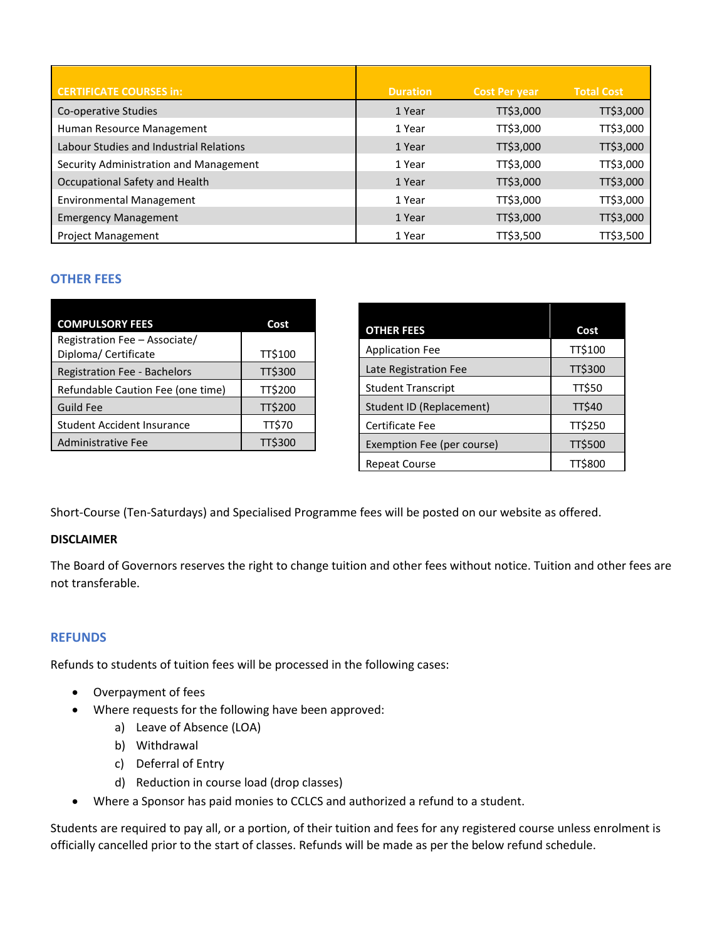| <b>CERTIFICATE COURSES in:</b>          | <b>Duration</b> | <b>Cost Per year</b> | <b>Total Cost</b> |
|-----------------------------------------|-----------------|----------------------|-------------------|
| Co-operative Studies                    | 1 Year          | TT\$3,000            | TT\$3,000         |
| Human Resource Management               | 1 Year          | TT\$3,000            | TT\$3,000         |
| Labour Studies and Industrial Relations | 1 Year          | TT\$3,000            | TT\$3,000         |
| Security Administration and Management  | 1 Year          | TT\$3,000            | TT\$3,000         |
| Occupational Safety and Health          | 1 Year          | TT\$3,000            | TT\$3,000         |
| <b>Environmental Management</b>         | 1 Year          | TT\$3,000            | TT\$3,000         |
| <b>Emergency Management</b>             | 1 Year          | TT\$3,000            | TT\$3,000         |
| <b>Project Management</b>               | 1 Year          | TT\$3,500            | TT\$3,500         |

# **OTHER FEES**

| <b>COMPULSORY FEES</b>                                | Cost          |
|-------------------------------------------------------|---------------|
| Registration Fee - Associate/<br>Diploma/ Certificate | TT\$100       |
| <b>Registration Fee - Bachelors</b>                   | TT\$300       |
| Refundable Caution Fee (one time)                     | TT\$200       |
| <b>Guild Fee</b>                                      | TT\$200       |
| <b>Student Accident Insurance</b>                     | <b>TT\$70</b> |
| <b>Administrative Fee</b>                             | TT\$300       |

| <b>OTHER FEES</b>               | Cost    |
|---------------------------------|---------|
| <b>Application Fee</b>          | TT\$100 |
| Late Registration Fee           | TT\$300 |
| <b>Student Transcript</b>       | TT\$50  |
| <b>Student ID (Replacement)</b> | TT\$40  |
| Certificate Fee                 | TT\$250 |
| Exemption Fee (per course)      | TT\$500 |
| <b>Repeat Course</b>            | TT\$800 |

Short-Course (Ten-Saturdays) and Specialised Programme fees will be posted on our website as offered.

### **DISCLAIMER**

The Board of Governors reserves the right to change tuition and other fees without notice. Tuition and other fees are not transferable.

### **REFUNDS**

Refunds to students of tuition fees will be processed in the following cases:

- Overpayment of fees
- Where requests for the following have been approved:
	- a) Leave of Absence (LOA)
	- b) Withdrawal
	- c) Deferral of Entry
	- d) Reduction in course load (drop classes)
- Where a Sponsor has paid monies to CCLCS and authorized a refund to a student.

Students are required to pay all, or a portion, of their tuition and fees for any registered course unless enrolment is officially cancelled prior to the start of classes. Refunds will be made as per the below refund schedule.